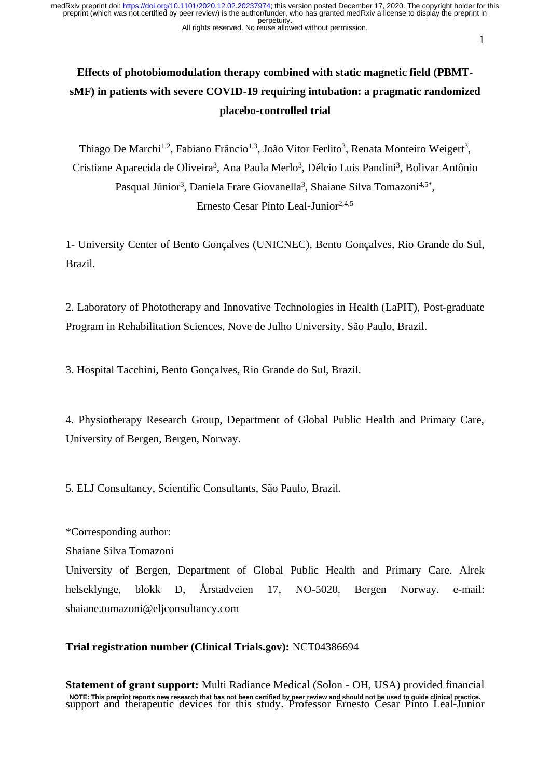#### All rights reserved. No reuse allowed without permission.

# **Effects of photobiomodulation therapy combined with static magnetic field (PBMTsMF) in patients with severe COVID-19 requiring intubation: a pragmatic randomized placebo-controlled trial**

Thiago De Marchi<sup>1,2</sup>, Fabiano Frâncio<sup>1,3</sup>, João Vitor Ferlito<sup>3</sup>, Renata Monteiro Weigert<sup>3</sup>, Cristiane Aparecida de Oliveira<sup>3</sup>, Ana Paula Merlo<sup>3</sup>, Délcio Luis Pandini<sup>3</sup>, Bolivar Antônio Pasqual Júnior<sup>3</sup>, Daniela Frare Giovanella<sup>3</sup>, Shaiane Silva Tomazoni<sup>4,5\*</sup>, Ernesto Cesar Pinto Leal-Junior $2,4,5$ 

1- University Center of Bento Gonçalves (UNICNEC), Bento Gonçalves, Rio Grande do Sul, Brazil.

2. Laboratory of Phototherapy and Innovative Technologies in Health (LaPIT), Post-graduate Program in Rehabilitation Sciences, Nove de Julho University, São Paulo, Brazil.

3. Hospital Tacchini, Bento Gonçalves, Rio Grande do Sul, Brazil.

4. Physiotherapy Research Group, Department of Global Public Health and Primary Care, University of Bergen, Bergen, Norway.

5. ELJ Consultancy, Scientific Consultants, São Paulo, Brazil.

\*Corresponding author:

Shaiane Silva Tomazoni

University of Bergen, Department of Global Public Health and Primary Care. Alrek helseklynge, blokk D, Årstadveien 17, NO-5020, Bergen Norway. e-mail: shaiane.tomazoni@eljconsultancy.com

**Trial registration number (Clinical Trials.gov):** NCT04386694

**Statement of grant support:** Multi Radiance Medical (Solon - OH, USA) provided financial NOTE: This preprint reports new research that has not been certified by peer review and should not be used to guide clinical practice.<br>Support and therapeutic devices for this study. Professor Ernesto Cesar Pinto Leal-Juni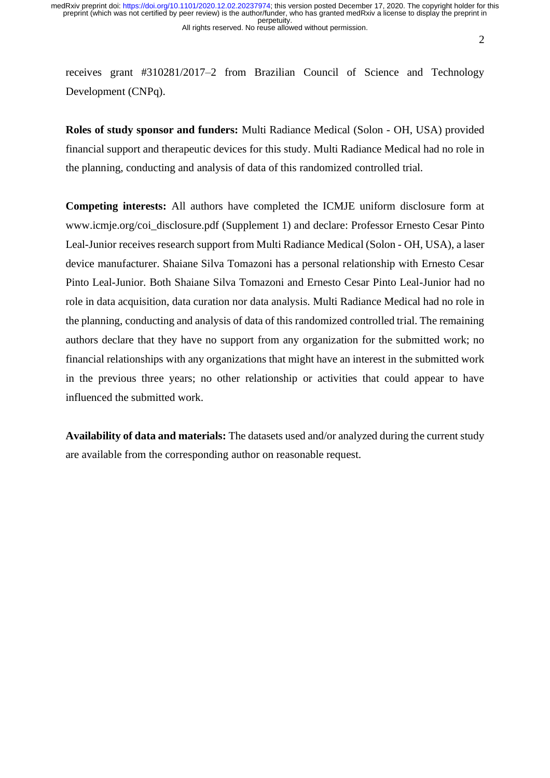$\mathfrak{D}$ 

receives grant #310281/2017–2 from Brazilian Council of Science and Technology Development (CNPq).

**Roles of study sponsor and funders:** Multi Radiance Medical (Solon - OH, USA) provided financial support and therapeutic devices for this study. Multi Radiance Medical had no role in the planning, conducting and analysis of data of this randomized controlled trial.

**Competing interests:** All authors have completed the ICMJE uniform disclosure form at www.icmje.org/coi\_disclosure.pdf (Supplement 1) and declare: Professor Ernesto Cesar Pinto Leal-Junior receives research support from Multi Radiance Medical (Solon - OH, USA), a laser device manufacturer. Shaiane Silva Tomazoni has a personal relationship with Ernesto Cesar Pinto Leal-Junior. Both Shaiane Silva Tomazoni and Ernesto Cesar Pinto Leal-Junior had no role in data acquisition, data curation nor data analysis. Multi Radiance Medical had no role in the planning, conducting and analysis of data of this randomized controlled trial. The remaining authors declare that they have no support from any organization for the submitted work; no financial relationships with any organizations that might have an interest in the submitted work in the previous three years; no other relationship or activities that could appear to have influenced the submitted work.

**Availability of data and materials:** The datasets used and/or analyzed during the current study are available from the corresponding author on reasonable request.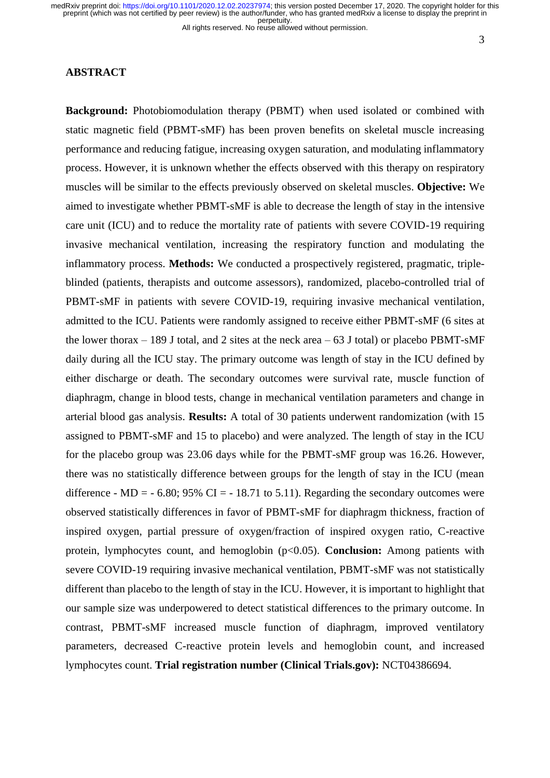All rights reserved. No reuse allowed without permission.

3

# **ABSTRACT**

**Background:** Photobiomodulation therapy (PBMT) when used isolated or combined with static magnetic field (PBMT-sMF) has been proven benefits on skeletal muscle increasing performance and reducing fatigue, increasing oxygen saturation, and modulating inflammatory process. However, it is unknown whether the effects observed with this therapy on respiratory muscles will be similar to the effects previously observed on skeletal muscles. **Objective:** We aimed to investigate whether PBMT-sMF is able to decrease the length of stay in the intensive care unit (ICU) and to reduce the mortality rate of patients with severe COVID-19 requiring invasive mechanical ventilation, increasing the respiratory function and modulating the inflammatory process. **Methods:** We conducted a prospectively registered, pragmatic, tripleblinded (patients, therapists and outcome assessors), randomized, placebo-controlled trial of PBMT-sMF in patients with severe COVID-19, requiring invasive mechanical ventilation, admitted to the ICU. Patients were randomly assigned to receive either PBMT-sMF (6 sites at the lower thorax  $-189$  J total, and 2 sites at the neck area  $-63$  J total) or placebo PBMT-sMF daily during all the ICU stay. The primary outcome was length of stay in the ICU defined by either discharge or death. The secondary outcomes were survival rate, muscle function of diaphragm, change in blood tests, change in mechanical ventilation parameters and change in arterial blood gas analysis. **Results:** A total of 30 patients underwent randomization (with 15 assigned to PBMT-sMF and 15 to placebo) and were analyzed. The length of stay in the ICU for the placebo group was 23.06 days while for the PBMT-sMF group was 16.26. However, there was no statistically difference between groups for the length of stay in the ICU (mean difference - MD = - 6.80; 95% CI = - 18.71 to 5.11). Regarding the secondary outcomes were observed statistically differences in favor of PBMT-sMF for diaphragm thickness, fraction of inspired oxygen, partial pressure of oxygen/fraction of inspired oxygen ratio, C-reactive protein, lymphocytes count, and hemoglobin (p<0.05). **Conclusion:** Among patients with severe COVID-19 requiring invasive mechanical ventilation, PBMT-sMF was not statistically different than placebo to the length of stay in the ICU. However, it is important to highlight that our sample size was underpowered to detect statistical differences to the primary outcome. In contrast, PBMT-sMF increased muscle function of diaphragm, improved ventilatory parameters, decreased C-reactive protein levels and hemoglobin count, and increased lymphocytes count. **Trial registration number (Clinical Trials.gov):** NCT04386694.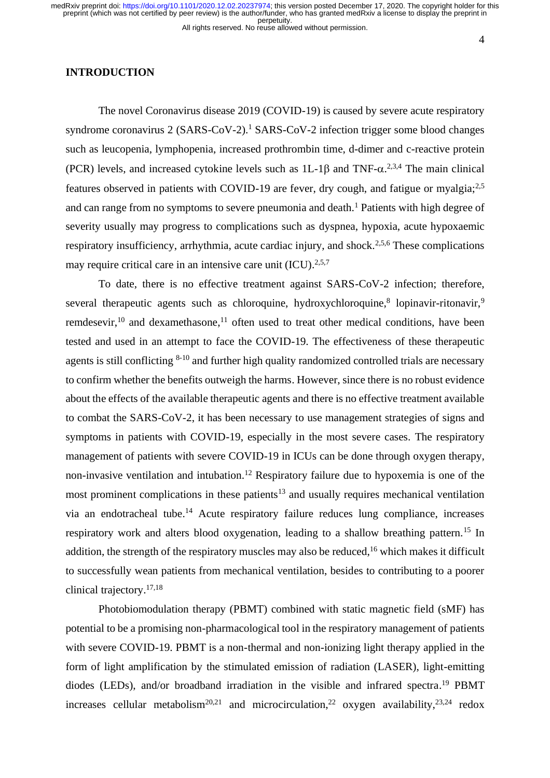#### All rights reserved. No reuse allowed without permission.

## **INTRODUCTION**

The novel Coronavirus disease 2019 (COVID-19) is caused by severe acute respiratory syndrome coronavirus  $2$  (SARS-CoV-2).<sup>1</sup> SARS-CoV-2 infection trigger some blood changes such as leucopenia, lymphopenia, increased prothrombin time, d-dimer and c-reactive protein (PCR) levels, and increased cytokine levels such as  $1L-1\beta$  and TNF- $\alpha$ <sup>2,3,4</sup> The main clinical features observed in patients with COVID-19 are fever, dry cough, and fatigue or myalgia;2,5 and can range from no symptoms to severe pneumonia and death.<sup>1</sup> Patients with high degree of severity usually may progress to complications such as dyspnea, hypoxia, acute hypoxaemic respiratory insufficiency, arrhythmia, acute cardiac injury, and shock.<sup>2,5,6</sup> These complications may require critical care in an intensive care unit  $(ICU)^{2,5,7}$ 

To date, there is no effective treatment against SARS-CoV-2 infection; therefore, several therapeutic agents such as chloroquine, hydroxychloroquine,<sup>8</sup> lopinavir-ritonavir,<sup>9</sup> remdesevir,<sup>10</sup> and dexamethasone,<sup>11</sup> often used to treat other medical conditions, have been tested and used in an attempt to face the COVID-19. The effectiveness of these therapeutic agents is still conflicting <sup>8-10</sup> and further high quality randomized controlled trials are necessary to confirm whether the benefits outweigh the harms. However, since there is no robust evidence about the effects of the available therapeutic agents and there is no effective treatment available to combat the SARS-CoV-2, it has been necessary to use management strategies of signs and symptoms in patients with COVID-19, especially in the most severe cases. The respiratory management of patients with severe COVID-19 in ICUs can be done through oxygen therapy, non-invasive ventilation and intubation.<sup>12</sup> Respiratory failure due to hypoxemia is one of the most prominent complications in these patients $13$  and usually requires mechanical ventilation via an endotracheal tube. <sup>14</sup> Acute respiratory failure reduces lung compliance, increases respiratory work and alters blood oxygenation, leading to a shallow breathing pattern.<sup>15</sup> In addition, the strength of the respiratory muscles may also be reduced,<sup>16</sup> which makes it difficult to successfully wean patients from mechanical ventilation, besides to contributing to a poorer clinical trajectory. 17,18

Photobiomodulation therapy (PBMT) combined with static magnetic field (sMF) has potential to be a promising non-pharmacological tool in the respiratory management of patients with severe COVID-19. PBMT is a non-thermal and non-ionizing light therapy applied in the form of light amplification by the stimulated emission of radiation (LASER), light-emitting diodes (LEDs), and/or broadband irradiation in the visible and infrared spectra.<sup>19</sup> PBMT increases cellular metabolism<sup>20,21</sup> and microcirculation,<sup>22</sup> oxygen availability,<sup>23,24</sup> redox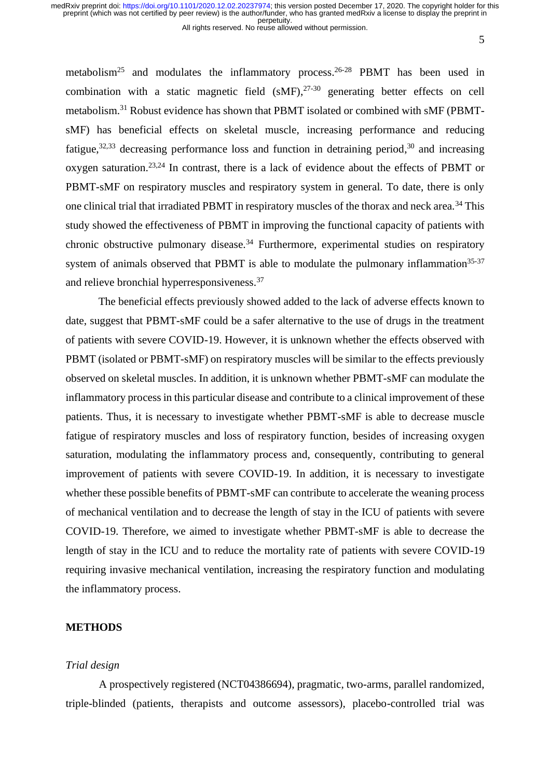perpetuity.<br>All rights reserved. No reuse allowed without permission.

5

metabolism<sup>25</sup> and modulates the inflammatory process.<sup>26-28</sup> PBMT has been used in combination with a static magnetic field  $(sMF)$ ,  $27-30$  generating better effects on cell metabolism.<sup>31</sup> Robust evidence has shown that PBMT isolated or combined with sMF (PBMTsMF) has beneficial effects on skeletal muscle, increasing performance and reducing fatigue,<sup>32,33</sup> decreasing performance loss and function in detraining period,<sup>30</sup> and increasing oxygen saturation.23,24 In contrast, there is a lack of evidence about the effects of PBMT or PBMT-sMF on respiratory muscles and respiratory system in general. To date, there is only one clinical trial that irradiated PBMT in respiratory muscles of the thorax and neck area.<sup>34</sup> This study showed the effectiveness of PBMT in improving the functional capacity of patients with chronic obstructive pulmonary disease.<sup>34</sup> Furthermore, experimental studies on respiratory system of animals observed that PBMT is able to modulate the pulmonary inflammation $35-37$ and relieve bronchial hyperresponsiveness.<sup>37</sup>

The beneficial effects previously showed added to the lack of adverse effects known to date, suggest that PBMT-sMF could be a safer alternative to the use of drugs in the treatment of patients with severe COVID-19. However, it is unknown whether the effects observed with PBMT (isolated or PBMT-sMF) on respiratory muscles will be similar to the effects previously observed on skeletal muscles. In addition, it is unknown whether PBMT-sMF can modulate the inflammatory process in this particular disease and contribute to a clinical improvement of these patients. Thus, it is necessary to investigate whether PBMT-sMF is able to decrease muscle fatigue of respiratory muscles and loss of respiratory function, besides of increasing oxygen saturation, modulating the inflammatory process and, consequently, contributing to general improvement of patients with severe COVID-19. In addition, it is necessary to investigate whether these possible benefits of PBMT-sMF can contribute to accelerate the weaning process of mechanical ventilation and to decrease the length of stay in the ICU of patients with severe COVID-19. Therefore, we aimed to investigate whether PBMT-sMF is able to decrease the length of stay in the ICU and to reduce the mortality rate of patients with severe COVID-19 requiring invasive mechanical ventilation, increasing the respiratory function and modulating the inflammatory process.

## **METHODS**

## *Trial design*

A prospectively registered (NCT04386694), pragmatic, two-arms, parallel randomized, triple-blinded (patients, therapists and outcome assessors), placebo-controlled trial was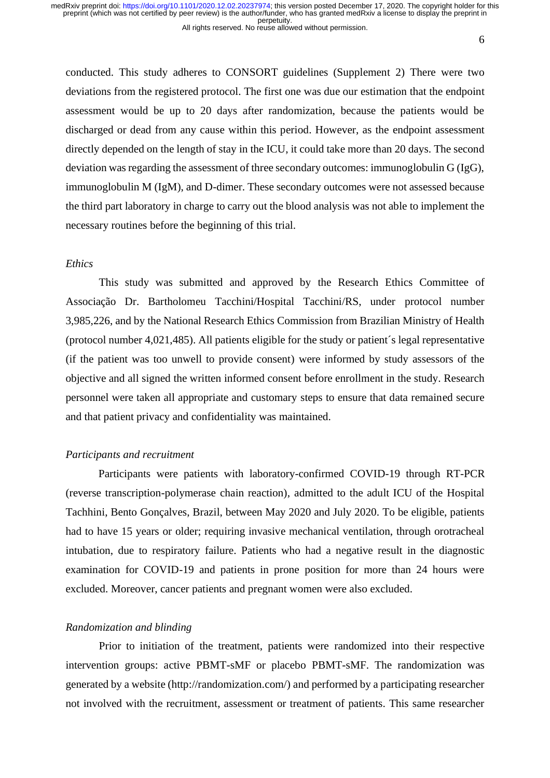All rights reserved. No reuse allowed without permission.

6

conducted. This study adheres to CONSORT guidelines (Supplement 2) There were two deviations from the registered protocol. The first one was due our estimation that the endpoint assessment would be up to 20 days after randomization, because the patients would be discharged or dead from any cause within this period. However, as the endpoint assessment directly depended on the length of stay in the ICU, it could take more than 20 days. The second deviation was regarding the assessment of three secondary outcomes: immunoglobulin G (IgG), immunoglobulin M (IgM), and D-dimer. These secondary outcomes were not assessed because the third part laboratory in charge to carry out the blood analysis was not able to implement the necessary routines before the beginning of this trial.

#### *Ethics*

This study was submitted and approved by the Research Ethics Committee of Associação Dr. Bartholomeu Tacchini/Hospital Tacchini/RS, under protocol number 3,985,226, and by the National Research Ethics Commission from Brazilian Ministry of Health (protocol number 4,021,485). All patients eligible for the study or patient´s legal representative (if the patient was too unwell to provide consent) were informed by study assessors of the objective and all signed the written informed consent before enrollment in the study. Research personnel were taken all appropriate and customary steps to ensure that data remained secure and that patient privacy and confidentiality was maintained.

#### *Participants and recruitment*

Participants were patients with laboratory-confirmed COVID-19 through RT-PCR (reverse transcription-polymerase chain reaction), admitted to the adult ICU of the Hospital Tachhini, Bento Gonçalves, Brazil, between May 2020 and July 2020. To be eligible, patients had to have 15 years or older; requiring invasive mechanical ventilation, through orotracheal intubation, due to respiratory failure. Patients who had a negative result in the diagnostic examination for COVID-19 and patients in prone position for more than 24 hours were excluded. Moreover, cancer patients and pregnant women were also excluded.

## *Randomization and blinding*

Prior to initiation of the treatment, patients were randomized into their respective intervention groups: active PBMT-sMF or placebo PBMT-sMF. The randomization was generated by a website (http://randomization.com/) and performed by a participating researcher not involved with the recruitment, assessment or treatment of patients. This same researcher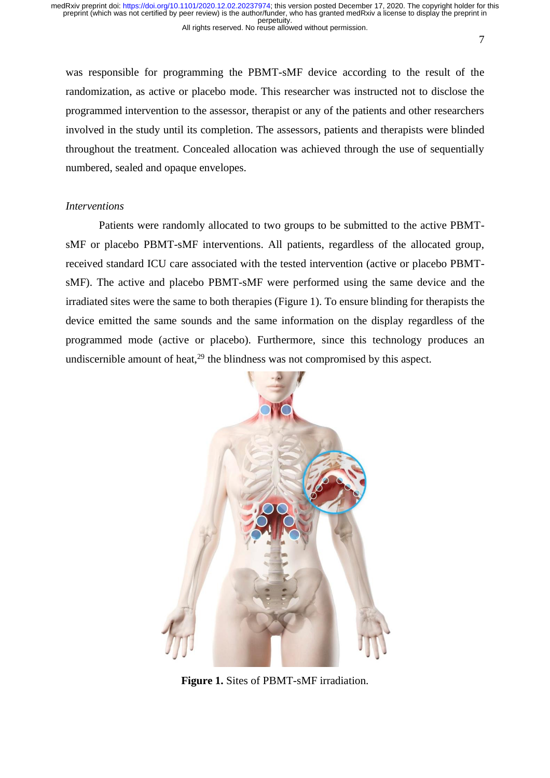7

was responsible for programming the PBMT-sMF device according to the result of the randomization, as active or placebo mode. This researcher was instructed not to disclose the programmed intervention to the assessor, therapist or any of the patients and other researchers involved in the study until its completion. The assessors, patients and therapists were blinded throughout the treatment. Concealed allocation was achieved through the use of sequentially numbered, sealed and opaque envelopes.

## *Interventions*

Patients were randomly allocated to two groups to be submitted to the active PBMTsMF or placebo PBMT-sMF interventions. All patients, regardless of the allocated group, received standard ICU care associated with the tested intervention (active or placebo PBMTsMF). The active and placebo PBMT-sMF were performed using the same device and the irradiated sites were the same to both therapies (Figure 1). To ensure blinding for therapists the device emitted the same sounds and the same information on the display regardless of the programmed mode (active or placebo). Furthermore, since this technology produces an undiscernible amount of heat,<sup>29</sup> the blindness was not compromised by this aspect.



**Figure 1.** Sites of PBMT-sMF irradiation.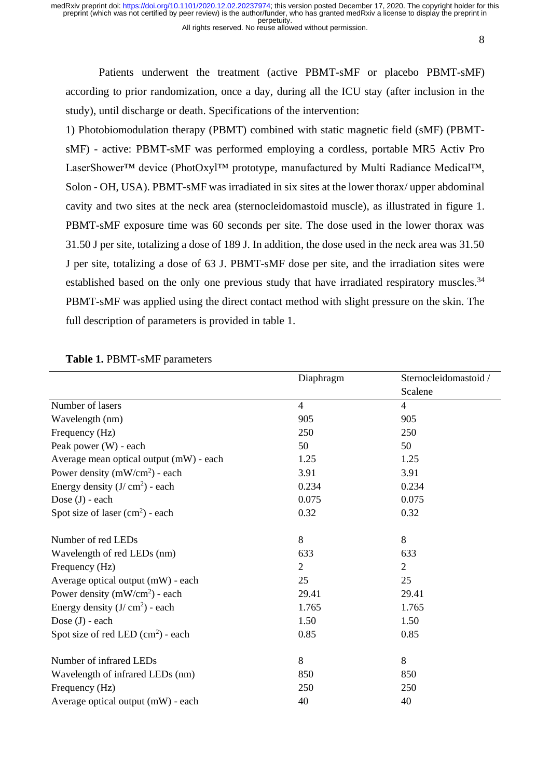All rights reserved. No reuse allowed without permission.

8

Patients underwent the treatment (active PBMT-sMF or placebo PBMT-sMF) according to prior randomization, once a day, during all the ICU stay (after inclusion in the study), until discharge or death. Specifications of the intervention:

1) Photobiomodulation therapy (PBMT) combined with static magnetic field (sMF) (PBMTsMF) - active: PBMT-sMF was performed employing a cordless, portable MR5 Activ Pro LaserShower™ device (PhotOxyl™ prototype, manufactured by Multi Radiance Medical™, Solon - OH, USA). PBMT-sMF was irradiated in six sites at the lower thorax/ upper abdominal cavity and two sites at the neck area (sternocleidomastoid muscle), as illustrated in figure 1. PBMT-sMF exposure time was 60 seconds per site. The dose used in the lower thorax was 31.50 J per site, totalizing a dose of 189 J. In addition, the dose used in the neck area was 31.50 J per site, totalizing a dose of 63 J. PBMT-sMF dose per site, and the irradiation sites were established based on the only one previous study that have irradiated respiratory muscles.<sup>34</sup> PBMT-sMF was applied using the direct contact method with slight pressure on the skin. The full description of parameters is provided in table 1.

|                                         | Diaphragm      | Sternocleidomastoid / |
|-----------------------------------------|----------------|-----------------------|
|                                         |                | Scalene               |
| Number of lasers                        | $\overline{4}$ | $\overline{4}$        |
| Wavelength (nm)                         | 905            | 905                   |
| Frequency (Hz)                          | 250            | 250                   |
| Peak power (W) - each                   | 50             | 50                    |
| Average mean optical output (mW) - each | 1.25           | 1.25                  |
| Power density $(mW/cm2)$ - each         | 3.91           | 3.91                  |
| Energy density $(J/cm2)$ - each         | 0.234          | 0.234                 |
| Dose $(J)$ - each                       | 0.075          | 0.075                 |
| Spot size of laser $(cm2)$ - each       | 0.32           | 0.32                  |
| Number of red LEDs                      | 8              | 8                     |
| Wavelength of red LEDs (nm)             | 633            | 633                   |
| Frequency (Hz)                          | $\overline{2}$ | $\overline{2}$        |
| Average optical output (mW) - each      | 25             | 25                    |
| Power density $(mW/cm2)$ - each         | 29.41          | 29.41                 |
| Energy density $(J/cm2)$ - each         | 1.765          | 1.765                 |
| Dose $(J)$ - each                       | 1.50           | 1.50                  |
| Spot size of red LED $(cm2)$ - each     | 0.85           | 0.85                  |
| Number of infrared LEDs                 | 8              | 8                     |
| Wavelength of infrared LEDs (nm)        | 850            | 850                   |
| Frequency (Hz)                          | 250            | 250                   |
| Average optical output (mW) - each      | 40             | 40                    |

## **Table 1.** PBMT-sMF parameters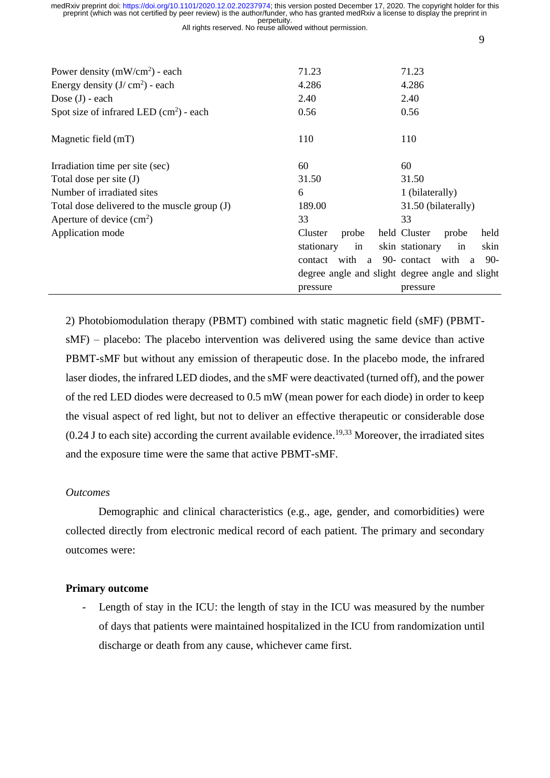|                                                                          | medRxiv preprint doi: https://doi.org/10.1101/2020.12.02.20237974; this version posted December 17, 2020. The copyright holder for this<br>preprint (which was not certified by peer review) is the author/funder, who has granted medRxiv a license to display the preprint in |                               |  |  |  |  |  |  |  |  |  |
|--------------------------------------------------------------------------|---------------------------------------------------------------------------------------------------------------------------------------------------------------------------------------------------------------------------------------------------------------------------------|-------------------------------|--|--|--|--|--|--|--|--|--|
| perpetuity.<br>All rights reserved. No reuse allowed without permission. |                                                                                                                                                                                                                                                                                 |                               |  |  |  |  |  |  |  |  |  |
|                                                                          |                                                                                                                                                                                                                                                                                 | 9                             |  |  |  |  |  |  |  |  |  |
|                                                                          |                                                                                                                                                                                                                                                                                 |                               |  |  |  |  |  |  |  |  |  |
| Power density $(mW/cm2)$ - each                                          | 71.23                                                                                                                                                                                                                                                                           | 71.23                         |  |  |  |  |  |  |  |  |  |
| Energy density $(J/cm2)$ - each                                          | 4.286                                                                                                                                                                                                                                                                           | 4.286                         |  |  |  |  |  |  |  |  |  |
| Dose $(J)$ - each                                                        | 2.40                                                                                                                                                                                                                                                                            |                               |  |  |  |  |  |  |  |  |  |
| Spot size of infrared LED $(cm2)$ - each                                 | 0.56                                                                                                                                                                                                                                                                            |                               |  |  |  |  |  |  |  |  |  |
|                                                                          |                                                                                                                                                                                                                                                                                 |                               |  |  |  |  |  |  |  |  |  |
| Magnetic field (mT)                                                      | 110                                                                                                                                                                                                                                                                             | 110                           |  |  |  |  |  |  |  |  |  |
| Irradiation time per site (sec)                                          | 60                                                                                                                                                                                                                                                                              | 60                            |  |  |  |  |  |  |  |  |  |
| Total dose per site (J)                                                  | 31.50                                                                                                                                                                                                                                                                           | 31.50                         |  |  |  |  |  |  |  |  |  |
| Number of irradiated sites                                               | 6                                                                                                                                                                                                                                                                               | 1 (bilaterally)               |  |  |  |  |  |  |  |  |  |
| Total dose delivered to the muscle group (J)                             | 189.00                                                                                                                                                                                                                                                                          | 31.50 (bilaterally)           |  |  |  |  |  |  |  |  |  |
| Aperture of device $(cm2)$                                               | 33                                                                                                                                                                                                                                                                              | 33                            |  |  |  |  |  |  |  |  |  |
| Application mode                                                         | Cluster<br>probe                                                                                                                                                                                                                                                                | held Cluster<br>held<br>probe |  |  |  |  |  |  |  |  |  |
|                                                                          | stationary<br>in                                                                                                                                                                                                                                                                | skin stationary<br>skin<br>in |  |  |  |  |  |  |  |  |  |

2) Photobiomodulation therapy (PBMT) combined with static magnetic field (sMF) (PBMTsMF) – placebo: The placebo intervention was delivered using the same device than active PBMT-sMF but without any emission of therapeutic dose. In the placebo mode, the infrared laser diodes, the infrared LED diodes, and the sMF were deactivated (turned off), and the power of the red LED diodes were decreased to 0.5 mW (mean power for each diode) in order to keep the visual aspect of red light, but not to deliver an effective therapeutic or considerable dose  $(0.24$  J to each site) according the current available evidence.<sup>19,33</sup> Moreover, the irradiated sites and the exposure time were the same that active PBMT-sMF.

pressure

contact with a 90- contact with a 90 degree angle and slight degree angle and slight

pressure

# *Outcomes*

Demographic and clinical characteristics (e.g., age, gender, and comorbidities) were collected directly from electronic medical record of each patient. The primary and secondary outcomes were:

# **Primary outcome**

- Length of stay in the ICU: the length of stay in the ICU was measured by the number of days that patients were maintained hospitalized in the ICU from randomization until discharge or death from any cause, whichever came first.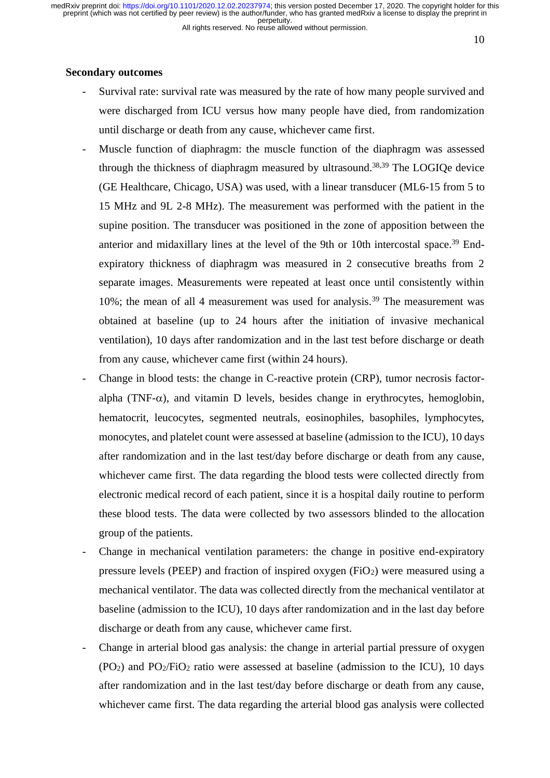All rights reserved. No reuse allowed without permission.

10

# **Secondary outcomes**

- Survival rate: survival rate was measured by the rate of how many people survived and were discharged from ICU versus how many people have died, from randomization until discharge or death from any cause, whichever came first.
- Muscle function of diaphragm: the muscle function of the diaphragm was assessed through the thickness of diaphragm measured by ultrasound. 38,39 The LOGIQe device (GE Healthcare, Chicago, USA) was used, with a linear transducer (ML6-15 from 5 to 15 MHz and 9L 2-8 MHz). The measurement was performed with the patient in the supine position. The transducer was positioned in the zone of apposition between the anterior and midaxillary lines at the level of the 9th or 10th intercostal space. <sup>39</sup> Endexpiratory thickness of diaphragm was measured in 2 consecutive breaths from 2 separate images. Measurements were repeated at least once until consistently within 10%; the mean of all 4 measurement was used for analysis.<sup>39</sup> The measurement was obtained at baseline (up to 24 hours after the initiation of invasive mechanical ventilation), 10 days after randomization and in the last test before discharge or death from any cause, whichever came first (within 24 hours).
- Change in blood tests: the change in C-reactive protein (CRP), tumor necrosis factoralpha (TNF- $\alpha$ ), and vitamin D levels, besides change in erythrocytes, hemoglobin, hematocrit, leucocytes, segmented neutrals, eosinophiles, basophiles, lymphocytes, monocytes, and platelet count were assessed at baseline (admission to the ICU), 10 days after randomization and in the last test/day before discharge or death from any cause, whichever came first. The data regarding the blood tests were collected directly from electronic medical record of each patient, since it is a hospital daily routine to perform these blood tests. The data were collected by two assessors blinded to the allocation group of the patients.
- Change in mechanical ventilation parameters: the change in positive end-expiratory pressure levels (PEEP) and fraction of inspired oxygen (FiO2) were measured using a mechanical ventilator. The data was collected directly from the mechanical ventilator at baseline (admission to the ICU), 10 days after randomization and in the last day before discharge or death from any cause, whichever came first.
- Change in arterial blood gas analysis: the change in arterial partial pressure of oxygen  $(PO<sub>2</sub>)$  and  $PO<sub>2</sub>/FiO<sub>2</sub>$  ratio were assessed at baseline (admission to the ICU), 10 days after randomization and in the last test/day before discharge or death from any cause, whichever came first. The data regarding the arterial blood gas analysis were collected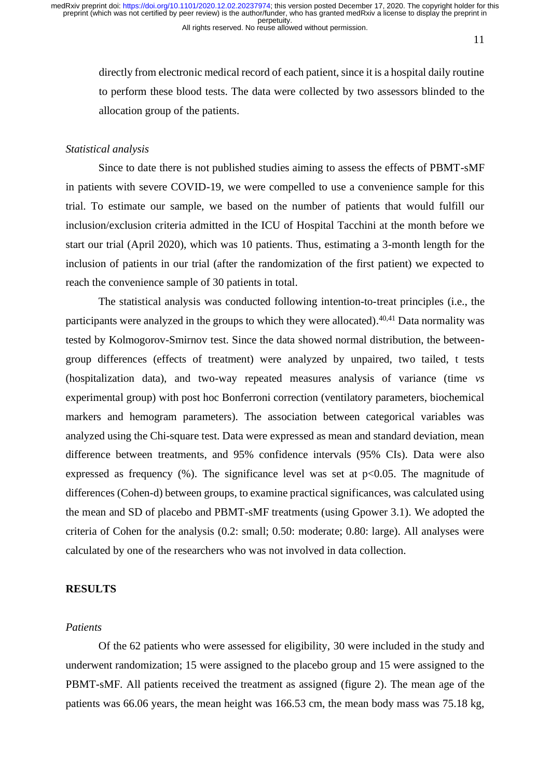directly from electronic medical record of each patient, since it is a hospital daily routine to perform these blood tests. The data were collected by two assessors blinded to the allocation group of the patients.

# *Statistical analysis*

Since to date there is not published studies aiming to assess the effects of PBMT-sMF in patients with severe COVID-19, we were compelled to use a convenience sample for this trial. To estimate our sample, we based on the number of patients that would fulfill our inclusion/exclusion criteria admitted in the ICU of Hospital Tacchini at the month before we start our trial (April 2020), which was 10 patients. Thus, estimating a 3-month length for the inclusion of patients in our trial (after the randomization of the first patient) we expected to reach the convenience sample of 30 patients in total.

The statistical analysis was conducted following intention-to-treat principles (i.e., the participants were analyzed in the groups to which they were allocated).<sup>40,41</sup> Data normality was tested by Kolmogorov-Smirnov test. Since the data showed normal distribution, the betweengroup differences (effects of treatment) were analyzed by unpaired, two tailed, t tests (hospitalization data), and two-way repeated measures analysis of variance (time *vs* experimental group) with post hoc Bonferroni correction (ventilatory parameters, biochemical markers and hemogram parameters). The association between categorical variables was analyzed using the Chi-square test. Data were expressed as mean and standard deviation, mean difference between treatments, and 95% confidence intervals (95% CIs). Data were also expressed as frequency  $(\%)$ . The significance level was set at  $p<0.05$ . The magnitude of differences (Cohen-d) between groups, to examine practical significances, was calculated using the mean and SD of placebo and PBMT-sMF treatments (using Gpower 3.1). We adopted the criteria of Cohen for the analysis (0.2: small; 0.50: moderate; 0.80: large). All analyses were calculated by one of the researchers who was not involved in data collection.

## **RESULTS**

## *Patients*

Of the 62 patients who were assessed for eligibility, 30 were included in the study and underwent randomization; 15 were assigned to the placebo group and 15 were assigned to the PBMT-sMF. All patients received the treatment as assigned (figure 2). The mean age of the patients was 66.06 years, the mean height was 166.53 cm, the mean body mass was 75.18 kg,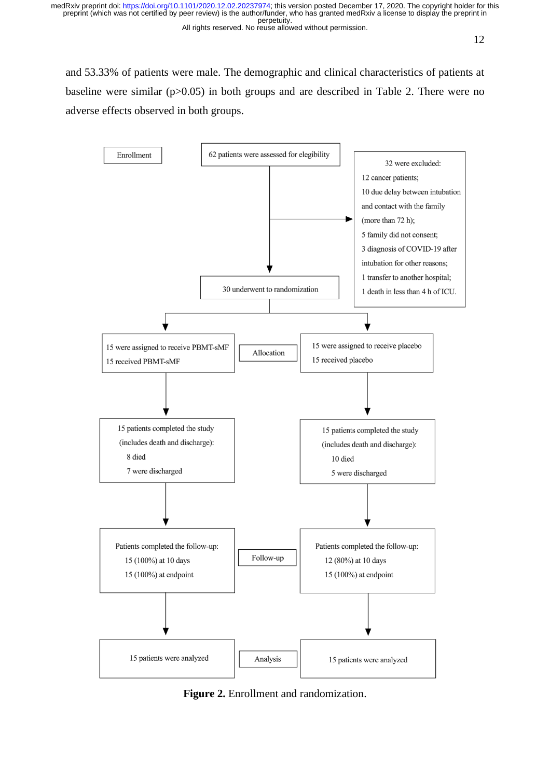and 53.33% of patients were male. The demographic and clinical characteristics of patients at baseline were similar (p>0.05) in both groups and are described in Table 2. There were no adverse effects observed in both groups.



**Figure 2.** Enrollment and randomization.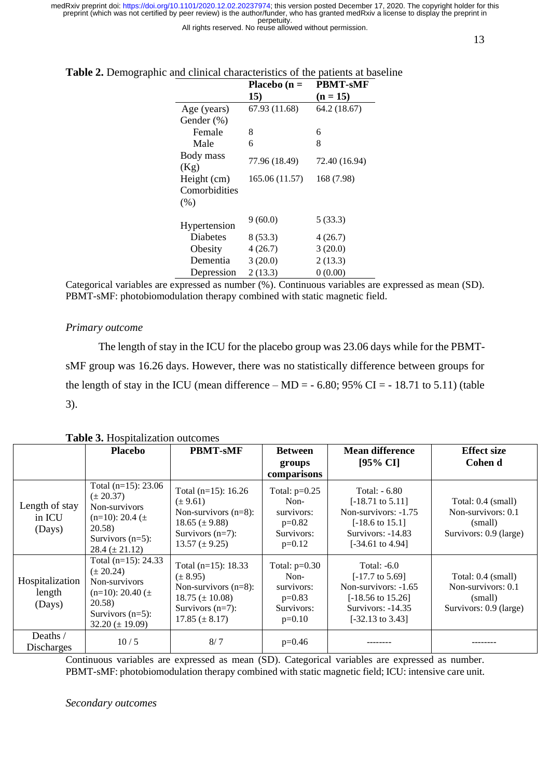All rights reserved. No reuse allowed without permission.

|                   | Placebo $(n =$ | PBMT-sMF      |
|-------------------|----------------|---------------|
|                   | 15)            | $(n = 15)$    |
| Age (years)       | 67.93 (11.68)  | 64.2 (18.67)  |
| Gender (%)        |                |               |
| Female            | 8              | 6             |
| Male              | 6              | 8             |
| Body mass<br>(Kg) | 77.96 (18.49)  | 72.40 (16.94) |
| Height (cm)       | 165.06 (11.57) | 168 (7.98)    |
| Comorbidities     |                |               |
| (% )              |                |               |
| Hypertension      | 9(60.0)        | 5(33.3)       |
| <b>Diabetes</b>   | 8(53.3)        | 4(26.7)       |
| Obesity           | 4(26.7)        | 3(20.0)       |
| Dementia          | 3(20.0)        | 2(13.3)       |
| Depression        | 2(13.3)        | 0(0.00)       |

## **Table 2.** Demographic and clinical characteristics of the patients at baseline

Categorical variables are expressed as number (%). Continuous variables are expressed as mean (SD). PBMT-sMF: photobiomodulation therapy combined with static magnetic field.

## *Primary outcome*

The length of stay in the ICU for the placebo group was 23.06 days while for the PBMTsMF group was 16.26 days. However, there was no statistically difference between groups for the length of stay in the ICU (mean difference – MD =  $-6.80$ ; 95% CI =  $-18.71$  to 5.11) (table 3).

|                                     | <b>Placebo</b>                                                                                                                                   | <b>PBMT-sMF</b>                                                                                                                         | <b>Between</b><br>groups<br>comparisons                                       | <b>Mean difference</b><br>[95% CI]                                                                                                                        | <b>Effect size</b><br>Cohen d                                                 |
|-------------------------------------|--------------------------------------------------------------------------------------------------------------------------------------------------|-----------------------------------------------------------------------------------------------------------------------------------------|-------------------------------------------------------------------------------|-----------------------------------------------------------------------------------------------------------------------------------------------------------|-------------------------------------------------------------------------------|
| Length of stay<br>in ICU<br>(Days)  | Total $(n=15)$ : 23.06<br>$(\pm 20.37)$<br>Non-survivors<br>$(n=10)$ : 20.4 ( $\pm$ )<br>20.58)<br>Survivors $(n=5)$ :<br>$28.4 (\pm 21.12)$     | Total $(n=15)$ : 16.26<br>$(\pm 9.61)$<br>Non-survivors $(n=8)$ :<br>18.65 $(\pm 9.88)$<br>Survivors $(n=7)$ :<br>$13.57 \ (\pm 9.25)$  | Total: $p=0.25$<br>Non-<br>survivors:<br>$p=0.82$<br>Survivors:<br>$p=0.12$   | Total: $-6.80$<br>$[-18.71 \text{ to } 5.11]$<br>Non-survivors: $-1.75$<br>$[-18.6 \text{ to } 15.1]$<br>Survivors: -14.83<br>$[-34.61 \text{ to } 4.94]$ | Total: 0.4 (small)<br>Non-survivors: 0.1<br>(small)<br>Survivors: 0.9 (large) |
| Hospitalization<br>length<br>(Days) | Total $(n=15)$ : 24.33<br>$(\pm 20.24)$<br>Non-survivors<br>$(n=10)$ : 20.40 ( $\pm$ )<br>20.58)<br>Survivors $(n=5)$ :<br>$32.20 \ (\pm 19.09)$ | Total $(n=15)$ : 18.33<br>$(\pm 8.95)$<br>Non-survivors $(n=8)$ :<br>$18.75 \ (\pm 10.08)$<br>Survivors $(n=7)$ :<br>$17.85 (\pm 8.17)$ | Total: $p=0.30$<br>$Non-$<br>survivors:<br>$p=0.83$<br>Survivors:<br>$p=0.10$ | Total: $-6.0$<br>$[-17.7 \text{ to } 5.69]$<br>Non-survivors: -1.65<br>$[-18.56 \text{ to } 15.26]$<br>Survivors: $-14.35$<br>$[-32.13 \text{ to } 3.43]$ | Total: 0.4 (small)<br>Non-survivors: 0.1<br>(small)<br>Survivors: 0.9 (large) |
| Deaths /<br><b>Discharges</b>       | 10/5                                                                                                                                             | 8/7                                                                                                                                     | $p=0.46$                                                                      |                                                                                                                                                           |                                                                               |

**Table 3.** Hospitalization outcomes

Continuous variables are expressed as mean (SD). Categorical variables are expressed as number. PBMT-sMF: photobiomodulation therapy combined with static magnetic field; ICU: intensive care unit.

*Secondary outcomes*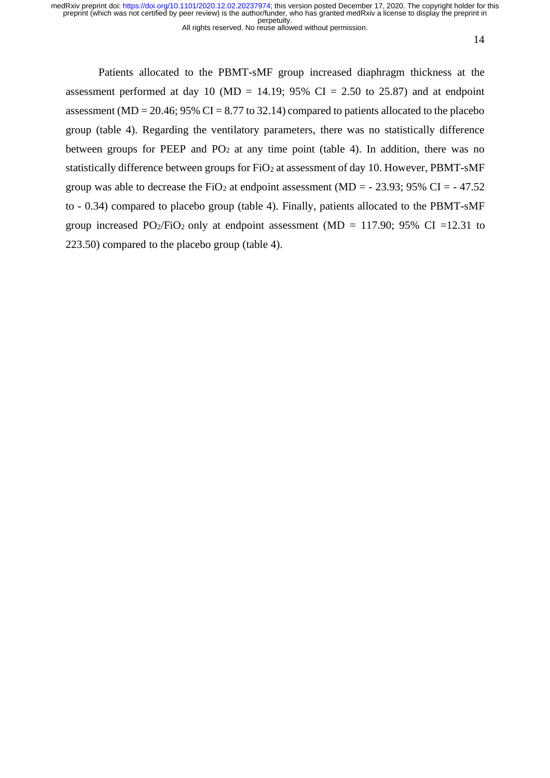All rights reserved. No reuse allowed without permission.

14

Patients allocated to the PBMT-sMF group increased diaphragm thickness at the assessment performed at day 10 (MD = 14.19; 95% CI = 2.50 to 25.87) and at endpoint assessment (MD = 20.46; 95% CI = 8.77 to 32.14) compared to patients allocated to the placebo group (table 4). Regarding the ventilatory parameters, there was no statistically difference between groups for PEEP and  $PO_2$  at any time point (table 4). In addition, there was no statistically difference between groups for FiO<sub>2</sub> at assessment of day 10. However, PBMT-sMF group was able to decrease the FiO<sub>2</sub> at endpoint assessment (MD =  $-$  23.93; 95% CI =  $-$  47.52 to - 0.34) compared to placebo group (table 4). Finally, patients allocated to the PBMT-sMF group increased PO<sub>2</sub>/FiO<sub>2</sub> only at endpoint assessment (MD = 117.90; 95% CI = 12.31 to 223.50) compared to the placebo group (table 4).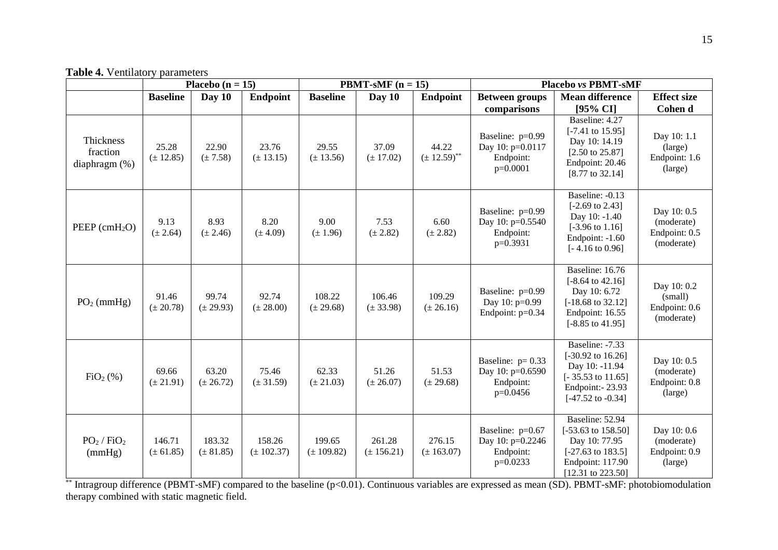**Table 4.** Ventilatory parameters

|                                              |                         | Placebo $(n = 15)$      |                          |                          | <b>PBMT-sMF</b> $(n = 15)$ |                                      | Placebo vs PBMT-sMF                                               |                                                                                                                                                        |                                                          |
|----------------------------------------------|-------------------------|-------------------------|--------------------------|--------------------------|----------------------------|--------------------------------------|-------------------------------------------------------------------|--------------------------------------------------------------------------------------------------------------------------------------------------------|----------------------------------------------------------|
|                                              | <b>Baseline</b>         | Day $10$                | <b>Endpoint</b>          | <b>Baseline</b>          | Day $10$                   | <b>Endpoint</b>                      | <b>Between groups</b>                                             | <b>Mean difference</b>                                                                                                                                 | <b>Effect</b> size                                       |
|                                              |                         |                         |                          |                          |                            |                                      | comparisons                                                       | [95% CI]                                                                                                                                               | Cohen d                                                  |
| Thickness<br>fraction<br>diaphragm $(\%)$    | 25.28<br>$(\pm 12.85)$  | 22.90<br>$(\pm 7.58)$   | 23.76<br>$(\pm 13.15)$   | 29.55<br>$(\pm 13.56)$   | 37.09<br>$(\pm 17.02)$     | 44.22<br>$(\pm 12.59)$ <sup>**</sup> | Baseline: p=0.99<br>Day 10: p=0.0117<br>Endpoint:<br>$p=0.0001$   | Baseline: 4.27<br>$[-7.41 \text{ to } 15.95]$<br>Day 10: 14.19<br>$[2.50 \text{ to } 25.87]$<br>Endpoint: 20.46<br>[8.77 to 32.14]                     | Day 10: 1.1<br>(large)<br>Endpoint: 1.6<br>(large)       |
| PEEP (cmH <sub>2</sub> O)                    | 9.13<br>$(\pm 2.64)$    | 8.93<br>$(\pm 2.46)$    | 8.20<br>$(\pm 4.09)$     | 9.00<br>$(\pm 1.96)$     | 7.53<br>$(\pm 2.82)$       | 6.60<br>$(\pm 2.82)$                 | Baseline: p=0.99<br>Day 10: p=0.5540<br>Endpoint:<br>$p=0.3931$   | Baseline: -0.13<br>$[-2.69 \text{ to } 2.43]$<br>Day 10: -1.40<br>$[-3.96 \text{ to } 1.16]$<br>Endpoint: -1.60<br>$[-4.16 \text{ to } 0.96]$          | Day 10: 0.5<br>(moderate)<br>Endpoint: 0.5<br>(moderate) |
| $PO2$ (mmHg)                                 | 91.46<br>$(\pm 20.78)$  | 99.74<br>$(\pm 29.93)$  | 92.74<br>$(\pm 28.00)$   | 108.22<br>$(\pm 29.68)$  | 106.46<br>$(\pm 33.98)$    | 109.29<br>$(\pm 26.16)$              | Baseline: p=0.99<br>Day 10: p=0.99<br>Endpoint: p=0.34            | Baseline: 16.76<br>$[-8.64 \text{ to } 42.16]$<br>Day 10: 6.72<br>$[-18.68 \text{ to } 32.12]$<br>Endpoint: 16.55<br>$[-8.85 \text{ to } 41.95]$       | Day 10: 0.2<br>(small)<br>Endpoint: 0.6<br>(moderate)    |
| FiO <sub>2</sub> (% )                        | 69.66<br>$(\pm 21.91)$  | 63.20<br>$(\pm 26.72)$  | 75.46<br>$(\pm 31.59)$   | 62.33<br>$(\pm 21.03)$   | 51.26<br>$(\pm 26.07)$     | 51.53<br>$(\pm 29.68)$               | Baseline: $p=0.33$<br>Day 10: p=0.6590<br>Endpoint:<br>$p=0.0456$ | Baseline: -7.33<br>$[-30.92 \text{ to } 16.26]$<br>Day 10: -11.94<br>$[-35.53 \text{ to } 11.65]$<br>Endpoint: - 23.93<br>$[-47.52 \text{ to } -0.34]$ | Day 10: 0.5<br>(moderate)<br>Endpoint: 0.8<br>(large)    |
| PO <sub>2</sub> / FiO <sub>2</sub><br>(mmHg) | 146.71<br>$(\pm 61.85)$ | 183.32<br>$(\pm 81.85)$ | 158.26<br>$(\pm 102.37)$ | 199.65<br>$(\pm 109.82)$ | 261.28<br>$(\pm 156.21)$   | 276.15<br>$(\pm 163.07)$             | Baseline: p=0.67<br>Day 10: p=0.2246<br>Endpoint:<br>$p=0.0233$   | Baseline: 52.94<br>$[-53.63 \text{ to } 158.50]$<br>Day 10: 77.95<br>$[-27.63 \text{ to } 183.5]$<br>Endpoint: 117.90<br>$[12.31$ to 223.50]           | Day 10: 0.6<br>(moderate)<br>Endpoint: 0.9<br>(large)    |

\*\* Intragroup difference (PBMT-sMF) compared to the baseline (p<0.01). Continuous variables are expressed as mean (SD). PBMT-sMF: photobiomodulation therapy combined with static magnetic field.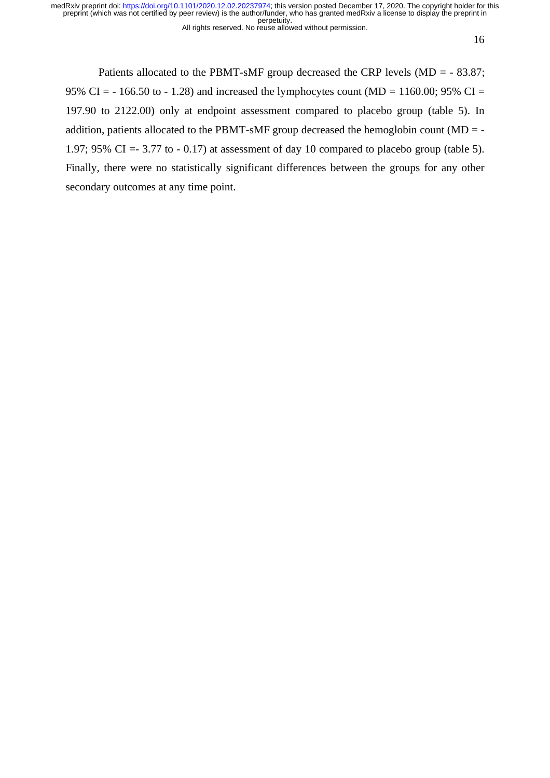All rights reserved. No reuse allowed without permission.

16

Patients allocated to the PBMT-sMF group decreased the CRP levels (MD = - 83.87; 95% CI = - 166.50 to - 1.28) and increased the lymphocytes count (MD = 1160.00; 95% CI = 197.90 to 2122.00) only at endpoint assessment compared to placebo group (table 5). In addition, patients allocated to the PBMT-sMF group decreased the hemoglobin count ( $MD = -$ 1.97; 95% CI =  $-3.77$  to  $-0.17$ ) at assessment of day 10 compared to placebo group (table 5). Finally, there were no statistically significant differences between the groups for any other secondary outcomes at any time point.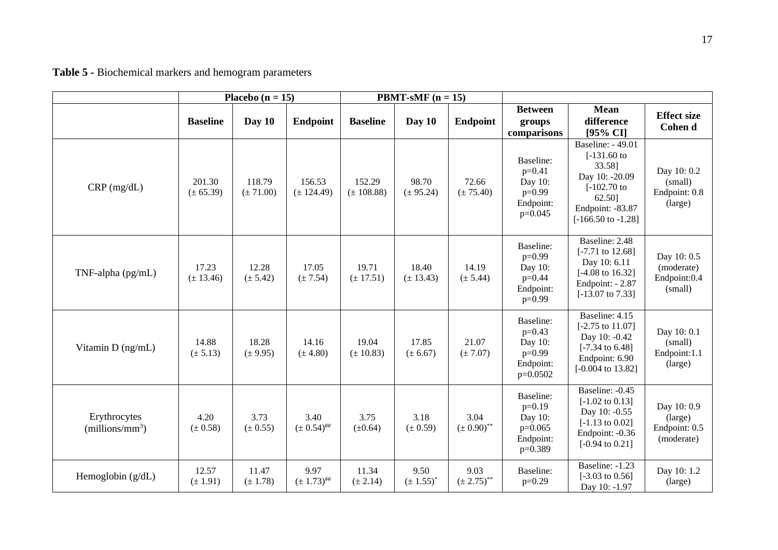| Table 5 - Biochemical markers and hemogram parameters |  |
|-------------------------------------------------------|--|
|-------------------------------------------------------|--|

|                                   |                         | Placebo ( $n = 15$ )    |                          | <b>PBMT-sMF</b> $(n = 15)$ |                        |                                    |                                                                         |                                                                                                                                                         |                                                       |
|-----------------------------------|-------------------------|-------------------------|--------------------------|----------------------------|------------------------|------------------------------------|-------------------------------------------------------------------------|---------------------------------------------------------------------------------------------------------------------------------------------------------|-------------------------------------------------------|
|                                   | <b>Baseline</b>         | Day $10$                | <b>Endpoint</b>          | <b>Baseline</b>            | Day 10                 | <b>Endpoint</b>                    | <b>Between</b><br>groups<br>comparisons                                 | <b>Mean</b><br>difference<br>[95% CI]                                                                                                                   | <b>Effect size</b><br>Cohen d                         |
| $CRP$ (mg/dL)                     | 201.30<br>$(\pm 65.39)$ | 118.79<br>$(\pm 71.00)$ | 156.53<br>$(\pm 124.49)$ | 152.29<br>$(\pm 108.88)$   | 98.70<br>$(\pm 95.24)$ | 72.66<br>$(\pm 75.40)$             | Baseline:<br>$p=0.41$<br>Day 10:<br>$p=0.99$<br>Endpoint:<br>$p=0.045$  | <b>Baseline: - 49.01</b><br>$[-131.60]$ to<br>33.58]<br>Day 10: -20.09<br>$[-102.70]$ to<br>62.50]<br>Endpoint: -83.87<br>$[-166.50 \text{ to } -1.28]$ | Day 10: 0.2<br>(small)<br>Endpoint: 0.8<br>(large)    |
| TNF-alpha (pg/mL)                 | 17.23<br>$(\pm 13.46)$  | 12.28<br>$(\pm 5.42)$   | 17.05<br>$(\pm 7.54)$    | 19.71<br>$(\pm 17.51)$     | 18.40<br>$(\pm 13.43)$ | 14.19<br>$(\pm 5.44)$              | Baseline:<br>$p=0.99$<br>Day 10:<br>$p=0.44$<br>Endpoint:<br>$p=0.99$   | Baseline: 2.48<br>$[-7.71 \text{ to } 12.68]$<br>Day 10: 6.11<br>$[-4.08 \text{ to } 16.32]$<br>Endpoint: - 2.87<br>$[-13.07 \text{ to } 7.33]$         | Day 10: 0.5<br>(moderate)<br>Endpoint:0.4<br>(small)  |
| Vitamin D (ng/mL)                 | 14.88<br>$(\pm 5.13)$   | 18.28<br>$(\pm 9.95)$   | 14.16<br>$(\pm 4.80)$    | 19.04<br>$(\pm 10.83)$     | 17.85<br>$(\pm 6.67)$  | 21.07<br>$(\pm 7.07)$              | Baseline:<br>$p=0.43$<br>Day 10:<br>$p=0.99$<br>Endpoint:<br>$p=0.0502$ | Baseline: 4.15<br>$[-2.75 \text{ to } 11.07]$<br>Day 10: -0.42<br>$[-7.34 \text{ to } 6.48]$<br>Endpoint: 6.90<br>$[-0.004 \text{ to } 13.82]$          | Day 10: 0.1<br>(small)<br>Endpoint:1.1<br>(large)     |
| Erythrocytes<br>$(millions/mm^3)$ | 4.20<br>$(\pm 0.58)$    | 3.73<br>$(\pm 0.55)$    | 3.40<br>$(\pm 0.54)$ ##  | 3.75<br>$(\pm 0.64)$       | 3.18<br>$(\pm 0.59)$   | 3.04<br>$(\pm 0.90) ^{**}$         | Baseline:<br>$p=0.19$<br>Day 10:<br>$p=0.065$<br>Endpoint:<br>$p=0.389$ | Baseline: -0.45<br>$[-1.02 \text{ to } 0.13]$<br>Day 10: -0.55<br>$[-1.13 \text{ to } 0.02]$<br>Endpoint: -0.36<br>$[-0.94 \text{ to } 0.21]$           | Day 10: 0.9<br>(large)<br>Endpoint: 0.5<br>(moderate) |
| Hemoglobin $(g/dL)$               | 12.57<br>$(\pm 1.91)$   | 11.47<br>$(\pm 1.78)$   | 9.97<br>$(\pm 1.73)^{#}$ | 11.34<br>$(\pm 2.14)$      | 9.50<br>$(\pm 1.55)^*$ | 9.03<br>$(\pm 2.75)$ <sup>**</sup> | Baseline:<br>$p=0.29$                                                   | Baseline: -1.23<br>$[-3.03 \text{ to } 0.56]$<br>Day 10: -1.97                                                                                          | Day 10: 1.2<br>(large)                                |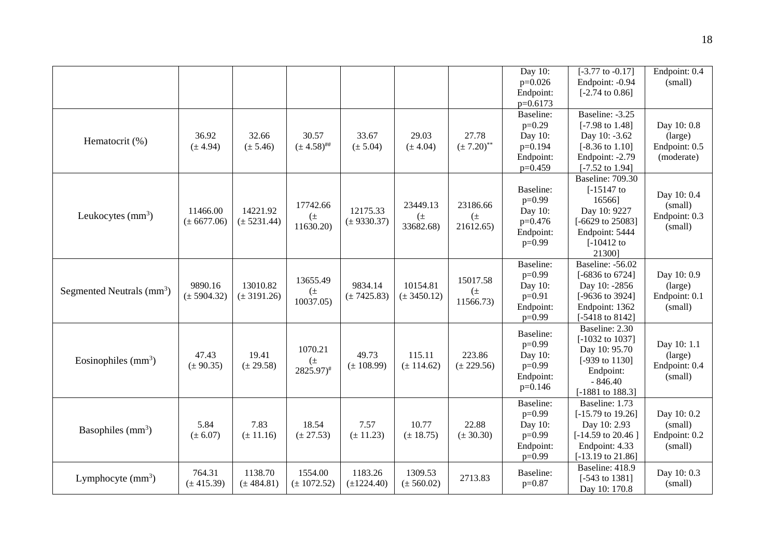|                                       |                             |                             |                                             |                             |                                 |                                     | Day 10:<br>$p=0.026$<br>Endpoint:<br>$p=0.6173$                         | $[-3.77 \text{ to } -0.17]$<br>Endpoint: -0.94<br>$[-2.74 \text{ to } 0.86]$                                                                     | Endpoint: 0.4<br>(small)                              |
|---------------------------------------|-----------------------------|-----------------------------|---------------------------------------------|-----------------------------|---------------------------------|-------------------------------------|-------------------------------------------------------------------------|--------------------------------------------------------------------------------------------------------------------------------------------------|-------------------------------------------------------|
| Hematocrit (%)                        | 36.92<br>$(\pm 4.94)$       | 32.66<br>$(\pm 5.46)$       | 30.57<br>$(\pm 4.58)^{$                     | 33.67<br>$(\pm 5.04)$       | 29.03<br>$(\pm 4.04)$           | 27.78<br>$(\pm 7.20)$ <sup>**</sup> | Baseline:<br>$p=0.29$<br>Day 10:<br>$p=0.194$<br>Endpoint:<br>$p=0.459$ | Baseline: -3.25<br>$[-7.98 \text{ to } 1.48]$<br>Day 10: -3.62<br>$[-8.36 \text{ to } 1.10]$<br>Endpoint: -2.79<br>$[-7.52 \text{ to } 1.94]$    | Day 10: 0.8<br>(large)<br>Endpoint: 0.5<br>(moderate) |
| Leukocytes $(mm3)$                    | 11466.00<br>$(\pm 6677.06)$ | 14221.92<br>$(\pm 5231.44)$ | 17742.66<br>$(\pm$<br>11630.20)             | 12175.33<br>$(\pm 9330.37)$ | 23449.13<br>$(\pm$<br>33682.68) | 23186.66<br>$(\pm$<br>21612.65)     | Baseline:<br>$p=0.99$<br>Day 10:<br>p=0.476<br>Endpoint:<br>$p=0.99$    | <b>Baseline: 709.30</b><br>$[-15147$ to<br>16566]<br>Day 10: 9227<br>$[-6629 \text{ to } 25083]$<br>Endpoint: 5444<br>$[-10412$ to<br>21300]     | Day 10: 0.4<br>(small)<br>Endpoint: 0.3<br>(small)    |
| Segmented Neutrals (mm <sup>3</sup> ) | 9890.16<br>$(\pm 5904.32)$  | 13010.82<br>$(\pm 3191.26)$ | 13655.49<br>$(\pm$<br>10037.05)             | 9834.14<br>$(\pm 7425.83)$  | 10154.81<br>$(\pm 3450.12)$     | 15017.58<br>$(\pm$<br>11566.73)     | Baseline:<br>$p=0.99$<br>Day 10:<br>$p=0.91$<br>Endpoint:<br>$p=0.99$   | Baseline: -56.02<br>[-6836 to 6724]<br>Day 10: -2856<br>[-9636 to 3924]<br>Endpoint: 1362<br>[-5418 to 8142]                                     | Day 10: 0.9<br>(large)<br>Endpoint: 0.1<br>(small)    |
| Eosinophiles $(mm3)$                  | 47.43<br>$(\pm 90.35)$      | 19.41<br>$(\pm 29.58)$      | 1070.21<br>$(\pm$<br>$2825.97$ <sup>#</sup> | 49.73<br>$(\pm 108.99)$     | 115.11<br>$(\pm 114.62)$        | 223.86<br>$(\pm 229.56)$            | Baseline:<br>$p=0.99$<br>Day 10:<br>$p=0.99$<br>Endpoint:<br>$p=0.146$  | Baseline: 2.30<br>$[-1032 \text{ to } 1037]$<br>Day 10: 95.70<br>$[-939 \text{ to } 1130]$<br>Endpoint:<br>$-846.40$<br>[-1881 to 188.3]         | Day 10: 1.1<br>(large)<br>Endpoint: 0.4<br>(small)    |
| Basophiles $(mm3)$                    | 5.84<br>$(\pm 6.07)$        | 7.83<br>$(\pm 11.16)$       | 18.54<br>$(\pm 27.53)$                      | 7.57<br>$(\pm 11.23)$       | 10.77<br>$(\pm 18.75)$          | 22.88<br>$(\pm 30.30)$              | Baseline:<br>$p=0.99$<br>Day 10:<br>$p=0.99$<br>Endpoint:<br>$p=0.99$   | Baseline: 1.73<br>$[-15.79 \text{ to } 19.26]$<br>Day 10: 2.93<br>$[-14.59 \text{ to } 20.46]$<br>Endpoint: 4.33<br>$[-13.19 \text{ to } 21.86]$ | Day 10: 0.2<br>(small)<br>Endpoint: 0.2<br>(small)    |
| Lymphocyte $(mm^3)$                   | 764.31<br>$(\pm 415.39)$    | 1138.70<br>$(\pm 484.81)$   | 1554.00<br>$(\pm 1072.52)$                  | 1183.26<br>$(\pm 1224.40)$  | 1309.53<br>$(\pm 560.02)$       | 2713.83                             | Baseline:<br>$p=0.87$                                                   | Baseline: 418.9<br>$[-543 \text{ to } 1381]$<br>Day 10: 170.8                                                                                    | Day 10: 0.3<br>(small)                                |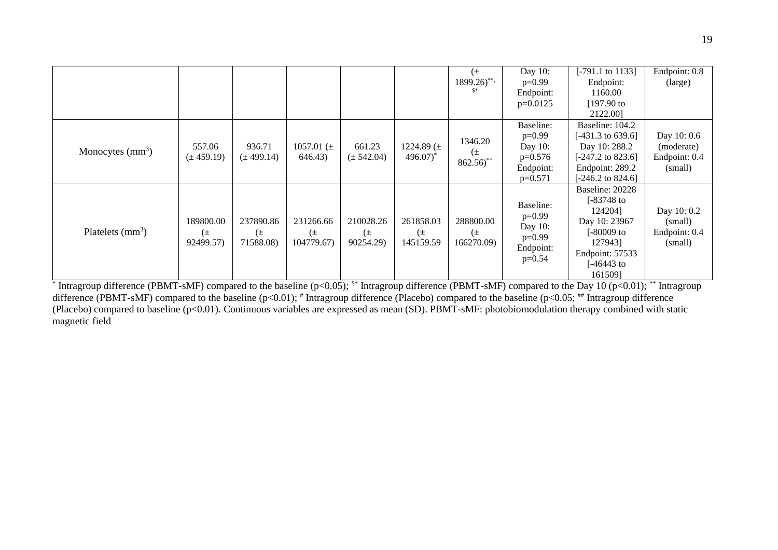|                           |                |                |                |                |                       | $(\pm$                           | Day 10:    | $[-791.1 \text{ to } 1133]$  | Endpoint: 0.8 |
|---------------------------|----------------|----------------|----------------|----------------|-----------------------|----------------------------------|------------|------------------------------|---------------|
|                           |                |                |                |                |                       | $1899.26$ <sup>**</sup>          | $p=0.99$   | Endpoint:                    | (large)       |
|                           |                |                |                |                |                       |                                  | Endpoint:  | 1160.00                      |               |
|                           |                |                |                |                |                       |                                  | $p=0.0125$ | $[197.90]$ to                |               |
|                           |                |                |                |                |                       |                                  |            | 2122.00                      |               |
|                           |                |                |                |                |                       |                                  | Baseline:  | Baseline: 104.2              |               |
|                           |                |                |                |                |                       | 1346.20                          | $p=0.99$   | [-431.3 to 639.6]            | Day 10: 0.6   |
|                           | 557.06         | 936.71         | 1057.01 $(\pm$ | 661.23         | 1224.89 $(\pm$        |                                  | Day 10:    | Day 10: 288.2                | (moderate)    |
| Monocytes $\text{(mm}^3)$ | $(\pm 459.19)$ | $(\pm 499.14)$ | 646.43)        | $(\pm 542.04)$ | $496.07$ <sup>*</sup> | $(\pm$<br>$862.56$ <sup>**</sup> | $p=0.576$  | $[-247.2 \text{ to } 823.6]$ | Endpoint: 0.4 |
|                           |                |                |                |                |                       |                                  | Endpoint:  | Endpoint: 289.2              | (small)       |
|                           |                |                |                |                |                       |                                  | $p=0.571$  | $[-246.2 \text{ to } 824.6]$ |               |
|                           |                |                |                |                |                       |                                  |            | Baseline: 20228              |               |
|                           |                |                |                |                |                       |                                  | Baseline:  | $[-83748]$ to                |               |
|                           |                |                |                |                |                       |                                  |            | 1242041                      | Day 10: 0.2   |
|                           | 189800.00      | 237890.86      | 231266.66      | 210028.26      | 261858.03             | 288800.00                        | $p=0.99$   | Day 10: 23967                | (small)       |
| Platelets $(mm3)$         | $(\pm$         | $(\pm$         | $(\pm$         | $(\pm$         | $(\pm$                | $(\pm$                           | Day 10:    | [-80009 to                   | Endpoint: 0.4 |
|                           | 92499.57)      | 71588.08)      | 104779.67)     | 90254.29)      | 145159.59             | 166270.09)                       | $p=0.99$   | 1279431                      | (small)       |
|                           |                |                |                |                |                       |                                  | Endpoint:  | Endpoint: 57533              |               |
|                           |                |                |                |                |                       |                                  | $p=0.54$   | $[-46443$ to                 |               |
|                           |                |                |                |                |                       |                                  |            | 1615091                      |               |

<sup>\*</sup> Intragroup difference (PBMT-sMF) compared to the baseline (p<0.05); <sup>\$\*</sup> Intragroup difference (PBMT-sMF) compared to the Day 10 (p<0.01); \*\* Intragroup difference (PBMT-sMF) compared to the baseline (p<0.01); # Intragroup difference (Placebo) compared to the baseline (p<0.05; ## Intragroup difference (Placebo) compared to baseline (p<0.01). Continuous variables are expressed as mean (SD). PBMT-sMF: photobiomodulation therapy combined with static magnetic field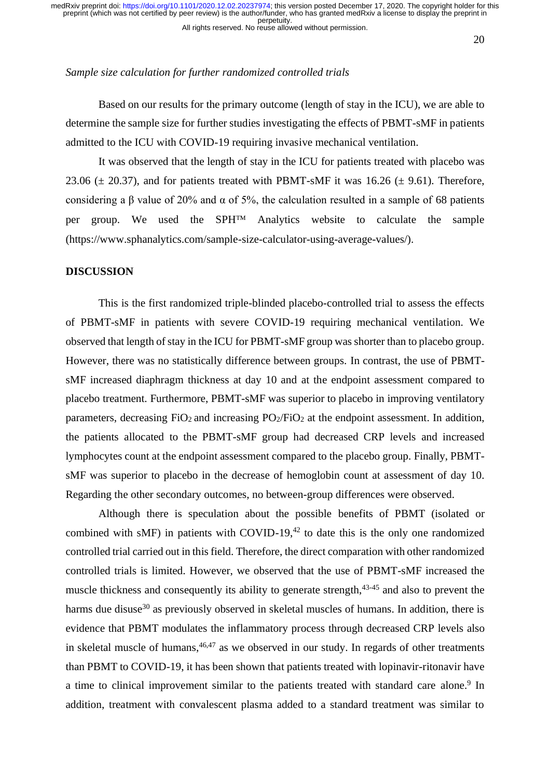All rights reserved. No reuse allowed without permission.

20

## *Sample size calculation for further randomized controlled trials*

Based on our results for the primary outcome (length of stay in the ICU), we are able to determine the sample size for further studies investigating the effects of PBMT-sMF in patients admitted to the ICU with COVID-19 requiring invasive mechanical ventilation.

It was observed that the length of stay in the ICU for patients treated with placebo was 23.06  $(\pm 20.37)$ , and for patients treated with PBMT-sMF it was 16.26  $(\pm 9.61)$ . Therefore, considering a  $\beta$  value of 20% and  $\alpha$  of 5%, the calculation resulted in a sample of 68 patients per group. We used the  $SPH^{TM}$  Analytics website to calculate the sample (https://www.sphanalytics.com/sample-size-calculator-using-average-values/).

# **DISCUSSION**

This is the first randomized triple-blinded placebo-controlled trial to assess the effects of PBMT-sMF in patients with severe COVID-19 requiring mechanical ventilation. We observed that length of stay in the ICU for PBMT-sMF group was shorter than to placebo group. However, there was no statistically difference between groups. In contrast, the use of PBMTsMF increased diaphragm thickness at day 10 and at the endpoint assessment compared to placebo treatment. Furthermore, PBMT-sMF was superior to placebo in improving ventilatory parameters, decreasing  $FiO<sub>2</sub>$  and increasing  $PO<sub>2</sub>/FiO<sub>2</sub>$  at the endpoint assessment. In addition, the patients allocated to the PBMT-sMF group had decreased CRP levels and increased lymphocytes count at the endpoint assessment compared to the placebo group. Finally, PBMTsMF was superior to placebo in the decrease of hemoglobin count at assessment of day 10. Regarding the other secondary outcomes, no between-group differences were observed.

Although there is speculation about the possible benefits of PBMT (isolated or combined with sMF) in patients with COVID-19 $,42$  to date this is the only one randomized controlled trial carried out in this field. Therefore, the direct comparation with other randomized controlled trials is limited. However, we observed that the use of PBMT-sMF increased the muscle thickness and consequently its ability to generate strength,<sup>43-45</sup> and also to prevent the harms due disuse<sup>30</sup> as previously observed in skeletal muscles of humans. In addition, there is evidence that PBMT modulates the inflammatory process through decreased CRP levels also in skeletal muscle of humans,  $46,47$  as we observed in our study. In regards of other treatments than PBMT to COVID-19, it has been shown that patients treated with lopinavir-ritonavir have a time to clinical improvement similar to the patients treated with standard care alone.<sup>9</sup> In addition, treatment with convalescent plasma added to a standard treatment was similar to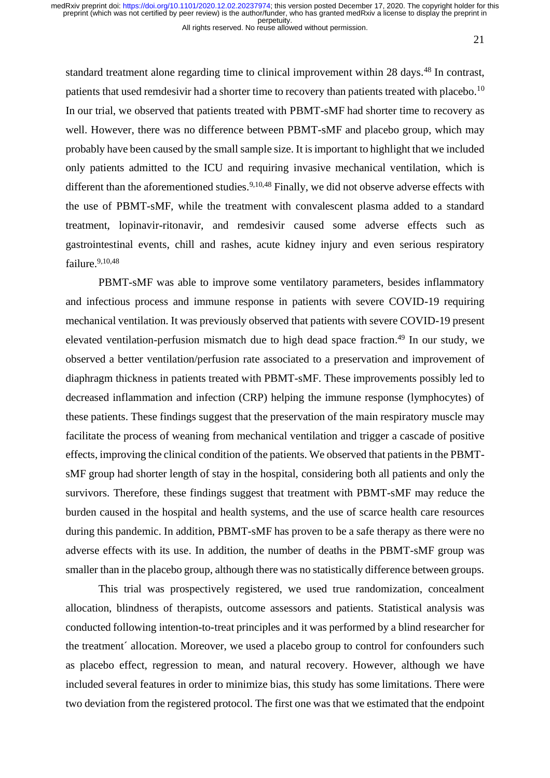All rights reserved. No reuse allowed without permission.

21

standard treatment alone regarding time to clinical improvement within 28 days.<sup>48</sup> In contrast, patients that used remdesivir had a shorter time to recovery than patients treated with placebo.<sup>10</sup> In our trial, we observed that patients treated with PBMT-sMF had shorter time to recovery as well. However, there was no difference between PBMT-sMF and placebo group, which may probably have been caused by the small sample size. It is important to highlight that we included only patients admitted to the ICU and requiring invasive mechanical ventilation, which is different than the aforementioned studies.<sup>9,10,48</sup> Finally, we did not observe adverse effects with the use of PBMT-sMF, while the treatment with convalescent plasma added to a standard treatment, lopinavir-ritonavir, and remdesivir caused some adverse effects such as gastrointestinal events, chill and rashes, acute kidney injury and even serious respiratory failure.<sup>9,10,48</sup>

PBMT-sMF was able to improve some ventilatory parameters, besides inflammatory and infectious process and immune response in patients with severe COVID-19 requiring mechanical ventilation. It was previously observed that patients with severe COVID-19 present elevated ventilation-perfusion mismatch due to high dead space fraction. <sup>49</sup> In our study, we observed a better ventilation/perfusion rate associated to a preservation and improvement of diaphragm thickness in patients treated with PBMT-sMF. These improvements possibly led to decreased inflammation and infection (CRP) helping the immune response (lymphocytes) of these patients. These findings suggest that the preservation of the main respiratory muscle may facilitate the process of weaning from mechanical ventilation and trigger a cascade of positive effects, improving the clinical condition of the patients. We observed that patients in the PBMTsMF group had shorter length of stay in the hospital, considering both all patients and only the survivors. Therefore, these findings suggest that treatment with PBMT-sMF may reduce the burden caused in the hospital and health systems, and the use of scarce health care resources during this pandemic. In addition, PBMT-sMF has proven to be a safe therapy as there were no adverse effects with its use. In addition, the number of deaths in the PBMT-sMF group was smaller than in the placebo group, although there was no statistically difference between groups.

This trial was prospectively registered, we used true randomization, concealment allocation, blindness of therapists, outcome assessors and patients. Statistical analysis was conducted following intention-to-treat principles and it was performed by a blind researcher for the treatment´ allocation. Moreover, we used a placebo group to control for confounders such as placebo effect, regression to mean, and natural recovery. However, although we have included several features in order to minimize bias, this study has some limitations. There were two deviation from the registered protocol. The first one was that we estimated that the endpoint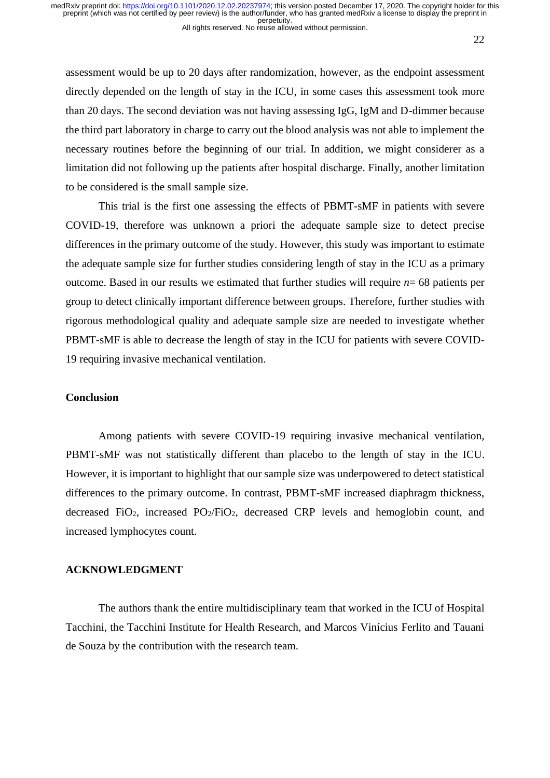22

assessment would be up to 20 days after randomization, however, as the endpoint assessment directly depended on the length of stay in the ICU, in some cases this assessment took more than 20 days. The second deviation was not having assessing IgG, IgM and D-dimmer because the third part laboratory in charge to carry out the blood analysis was not able to implement the necessary routines before the beginning of our trial. In addition, we might considerer as a limitation did not following up the patients after hospital discharge. Finally, another limitation to be considered is the small sample size.

This trial is the first one assessing the effects of PBMT-sMF in patients with severe COVID-19, therefore was unknown a priori the adequate sample size to detect precise differences in the primary outcome of the study. However, this study was important to estimate the adequate sample size for further studies considering length of stay in the ICU as a primary outcome. Based in our results we estimated that further studies will require *n*= 68 patients per group to detect clinically important difference between groups. Therefore, further studies with rigorous methodological quality and adequate sample size are needed to investigate whether PBMT-sMF is able to decrease the length of stay in the ICU for patients with severe COVID-19 requiring invasive mechanical ventilation.

#### **Conclusion**

Among patients with severe COVID-19 requiring invasive mechanical ventilation, PBMT-sMF was not statistically different than placebo to the length of stay in the ICU. However, it is important to highlight that our sample size was underpowered to detect statistical differences to the primary outcome. In contrast, PBMT-sMF increased diaphragm thickness, decreased FiO2, increased PO2/FiO2, decreased CRP levels and hemoglobin count, and increased lymphocytes count.

# **ACKNOWLEDGMENT**

The authors thank the entire multidisciplinary team that worked in the ICU of Hospital Tacchini, the Tacchini Institute for Health Research, and Marcos Vinícius Ferlito and Tauani de Souza by the contribution with the research team.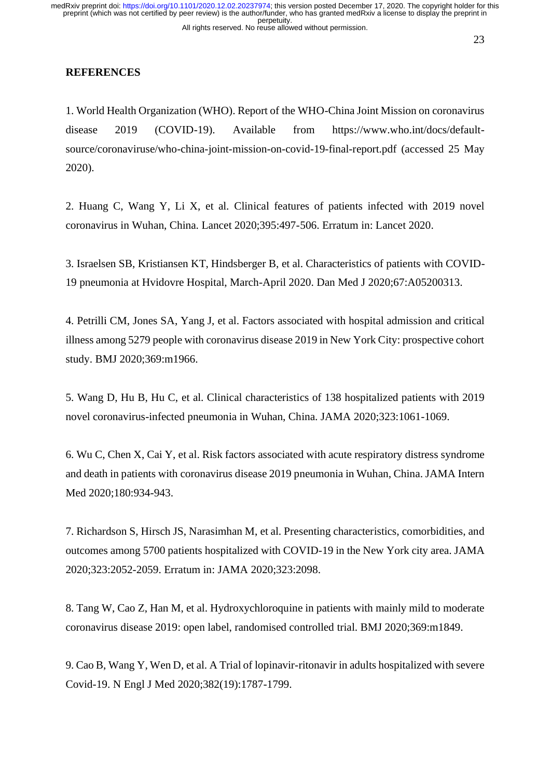## **REFERENCES**

1. World Health Organization (WHO). Report of the WHO-China Joint Mission on coronavirus disease 2019 (COVID-19). Available from https://www.who.int/docs/defaultsource/coronaviruse/who-china-joint-mission-on-covid-19-final-report.pdf (accessed 25 May 2020).

2. Huang C, Wang Y, Li X, et al. Clinical features of patients infected with 2019 novel coronavirus in Wuhan, China. Lancet 2020;395:497-506. Erratum in: Lancet 2020.

3. Israelsen SB, Kristiansen KT, Hindsberger B, et al. Characteristics of patients with COVID-19 pneumonia at Hvidovre Hospital, March-April 2020. Dan Med J 2020;67:A05200313.

4. Petrilli CM, Jones SA, Yang J, et al. Factors associated with hospital admission and critical illness among 5279 people with coronavirus disease 2019 in New York City: prospective cohort study. BMJ 2020;369:m1966.

5. Wang D, Hu B, Hu C, et al. Clinical characteristics of 138 hospitalized patients with 2019 novel coronavirus-infected pneumonia in Wuhan, China. JAMA 2020;323:1061-1069.

6. Wu C, Chen X, Cai Y, et al. Risk factors associated with acute respiratory distress syndrome and death in patients with coronavirus disease 2019 pneumonia in Wuhan, China. JAMA Intern Med 2020;180:934-943.

7. Richardson S, Hirsch JS, Narasimhan M, et al. Presenting characteristics, comorbidities, and outcomes among 5700 patients hospitalized with COVID-19 in the New York city area. JAMA 2020;323:2052-2059. Erratum in: JAMA 2020;323:2098.

8. Tang W, Cao Z, Han M, et al. Hydroxychloroquine in patients with mainly mild to moderate coronavirus disease 2019: open label, randomised controlled trial. BMJ 2020;369:m1849.

9. Cao B, Wang Y, Wen D, et al. A Trial of lopinavir-ritonavir in adults hospitalized with severe Covid-19. N Engl J Med 2020;382(19):1787-1799.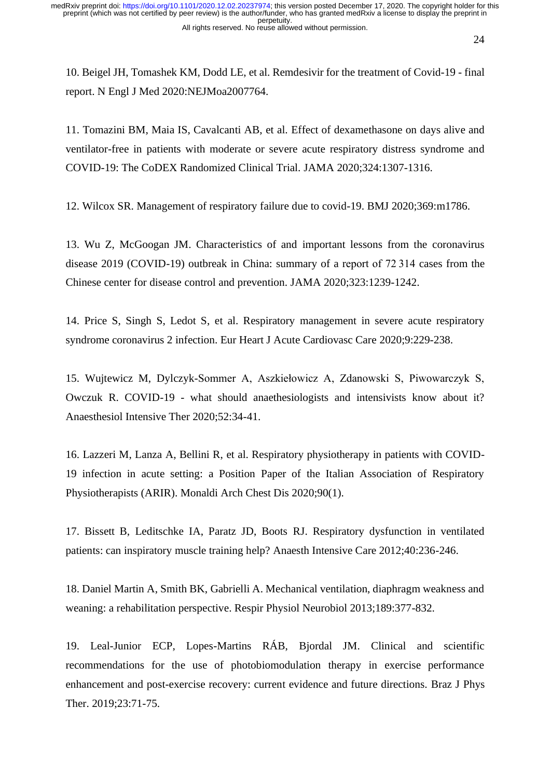10. Beigel JH, Tomashek KM, Dodd LE, et al. Remdesivir for the treatment of Covid-19 - final report. N Engl J Med 2020:NEJMoa2007764.

11. Tomazini BM, Maia IS, Cavalcanti AB, et al. Effect of dexamethasone on days alive and ventilator-free in patients with moderate or severe acute respiratory distress syndrome and COVID-19: The CoDEX Randomized Clinical Trial. JAMA 2020;324:1307-1316.

12. Wilcox SR. Management of respiratory failure due to covid-19. BMJ 2020;369:m1786.

13. Wu Z, McGoogan JM. Characteristics of and important lessons from the coronavirus disease 2019 (COVID-19) outbreak in China: summary of a report of 72 314 cases from the Chinese center for disease control and prevention. JAMA 2020;323:1239-1242.

14. Price S, Singh S, Ledot S, et al. Respiratory management in severe acute respiratory syndrome coronavirus 2 infection. Eur Heart J Acute Cardiovasc Care 2020;9:229-238.

15. Wujtewicz M, Dylczyk-Sommer A, Aszkiełowicz A, Zdanowski S, Piwowarczyk S, Owczuk R. COVID-19 - what should anaethesiologists and intensivists know about it? Anaesthesiol Intensive Ther 2020;52:34-41.

16. Lazzeri M, Lanza A, Bellini R, et al. Respiratory physiotherapy in patients with COVID-19 infection in acute setting: a Position Paper of the Italian Association of Respiratory Physiotherapists (ARIR). Monaldi Arch Chest Dis 2020;90(1).

17. Bissett B, Leditschke IA, Paratz JD, Boots RJ. Respiratory dysfunction in ventilated patients: can inspiratory muscle training help? Anaesth Intensive Care 2012;40:236-246.

18. Daniel Martin A, Smith BK, Gabrielli A. Mechanical ventilation, diaphragm weakness and weaning: a rehabilitation perspective. Respir Physiol Neurobiol 2013;189:377-832.

19. Leal-Junior ECP, Lopes-Martins RÁB, Bjordal JM. Clinical and scientific recommendations for the use of photobiomodulation therapy in exercise performance enhancement and post-exercise recovery: current evidence and future directions. Braz J Phys Ther. 2019;23:71-75.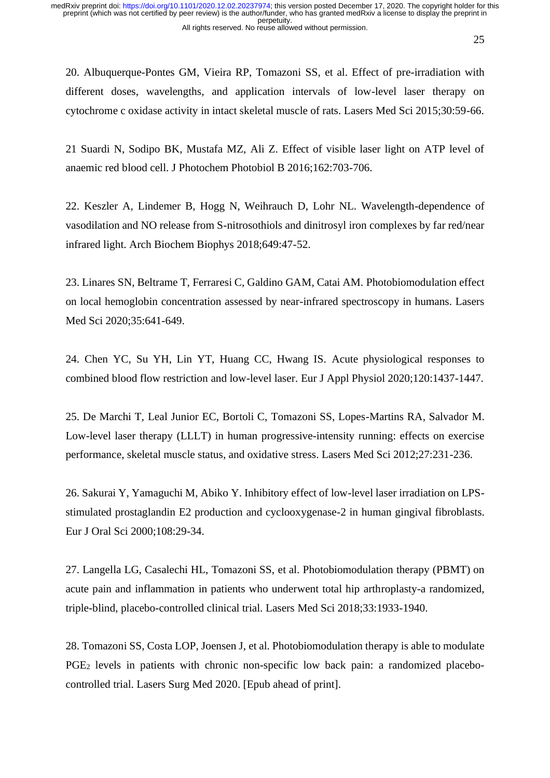20. Albuquerque-Pontes GM, Vieira RP, Tomazoni SS, et al. Effect of pre-irradiation with different doses, wavelengths, and application intervals of low-level laser therapy on cytochrome c oxidase activity in intact skeletal muscle of rats. Lasers Med Sci 2015;30:59-66.

21 Suardi N, Sodipo BK, Mustafa MZ, Ali Z. Effect of visible laser light on ATP level of anaemic red blood cell. J Photochem Photobiol B 2016;162:703-706.

22. Keszler A, Lindemer B, Hogg N, Weihrauch D, Lohr NL. Wavelength-dependence of vasodilation and NO release from S-nitrosothiols and dinitrosyl iron complexes by far red/near infrared light. Arch Biochem Biophys 2018;649:47-52.

23. Linares SN, Beltrame T, Ferraresi C, Galdino GAM, Catai AM. Photobiomodulation effect on local hemoglobin concentration assessed by near-infrared spectroscopy in humans. Lasers Med Sci 2020;35:641-649.

24. Chen YC, Su YH, Lin YT, Huang CC, Hwang IS. Acute physiological responses to combined blood flow restriction and low-level laser. Eur J Appl Physiol 2020;120:1437-1447.

25. De Marchi T, Leal Junior EC, Bortoli C, Tomazoni SS, Lopes-Martins RA, Salvador M. Low-level laser therapy (LLLT) in human progressive-intensity running: effects on exercise performance, skeletal muscle status, and oxidative stress. Lasers Med Sci 2012;27:231-236.

26. Sakurai Y, Yamaguchi M, Abiko Y. Inhibitory effect of low-level laser irradiation on LPSstimulated prostaglandin E2 production and cyclooxygenase-2 in human gingival fibroblasts. Eur J Oral Sci 2000;108:29-34.

27. Langella LG, Casalechi HL, Tomazoni SS, et al. Photobiomodulation therapy (PBMT) on acute pain and inflammation in patients who underwent total hip arthroplasty-a randomized, triple-blind, placebo-controlled clinical trial. Lasers Med Sci 2018;33:1933-1940.

28. Tomazoni SS, Costa LOP, Joensen J, et al. Photobiomodulation therapy is able to modulate PGE<sup>2</sup> levels in patients with chronic non-specific low back pain: a randomized placebocontrolled trial. Lasers Surg Med 2020. [Epub ahead of print].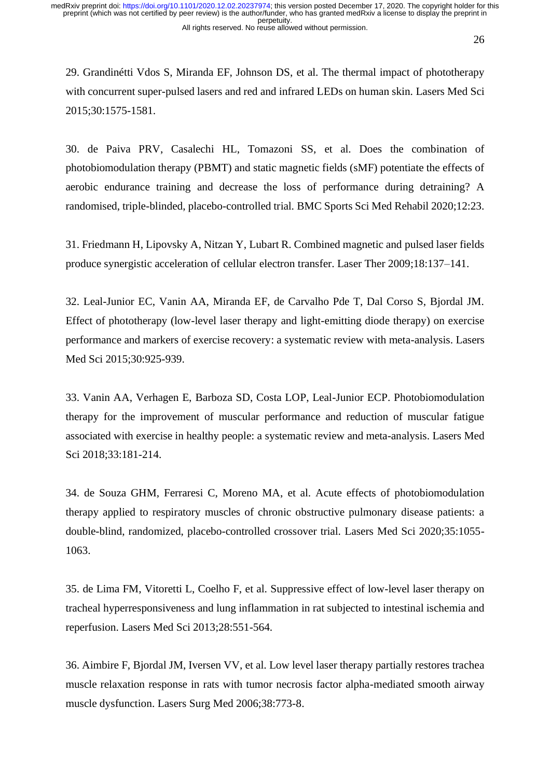29. Grandinétti Vdos S, Miranda EF, Johnson DS, et al. The thermal impact of phototherapy with concurrent super-pulsed lasers and red and infrared LEDs on human skin. Lasers Med Sci 2015;30:1575-1581.

30. de Paiva PRV, Casalechi HL, Tomazoni SS, et al. Does the combination of photobiomodulation therapy (PBMT) and static magnetic fields (sMF) potentiate the effects of aerobic endurance training and decrease the loss of performance during detraining? A randomised, triple-blinded, placebo-controlled trial. BMC Sports Sci Med Rehabil 2020;12:23.

31. Friedmann H, Lipovsky A, Nitzan Y, Lubart R. Combined magnetic and pulsed laser fields produce synergistic acceleration of cellular electron transfer. Laser Ther 2009;18:137–141.

32. Leal-Junior EC, Vanin AA, Miranda EF, de Carvalho Pde T, Dal Corso S, Bjordal JM. Effect of phototherapy (low-level laser therapy and light-emitting diode therapy) on exercise performance and markers of exercise recovery: a systematic review with meta-analysis. Lasers Med Sci 2015;30:925-939.

33. Vanin AA, Verhagen E, Barboza SD, Costa LOP, Leal-Junior ECP. Photobiomodulation therapy for the improvement of muscular performance and reduction of muscular fatigue associated with exercise in healthy people: a systematic review and meta-analysis. Lasers Med Sci 2018;33:181-214.

34. de Souza GHM, Ferraresi C, Moreno MA, et al. Acute effects of photobiomodulation therapy applied to respiratory muscles of chronic obstructive pulmonary disease patients: a double-blind, randomized, placebo-controlled crossover trial. Lasers Med Sci 2020;35:1055- 1063.

35. de Lima FM, Vitoretti L, Coelho F, et al. Suppressive effect of low-level laser therapy on tracheal hyperresponsiveness and lung inflammation in rat subjected to intestinal ischemia and reperfusion. Lasers Med Sci 2013;28:551-564.

36. Aimbire F, Bjordal JM, Iversen VV, et al. Low level laser therapy partially restores trachea muscle relaxation response in rats with tumor necrosis factor alpha-mediated smooth airway muscle dysfunction. Lasers Surg Med 2006;38:773-8.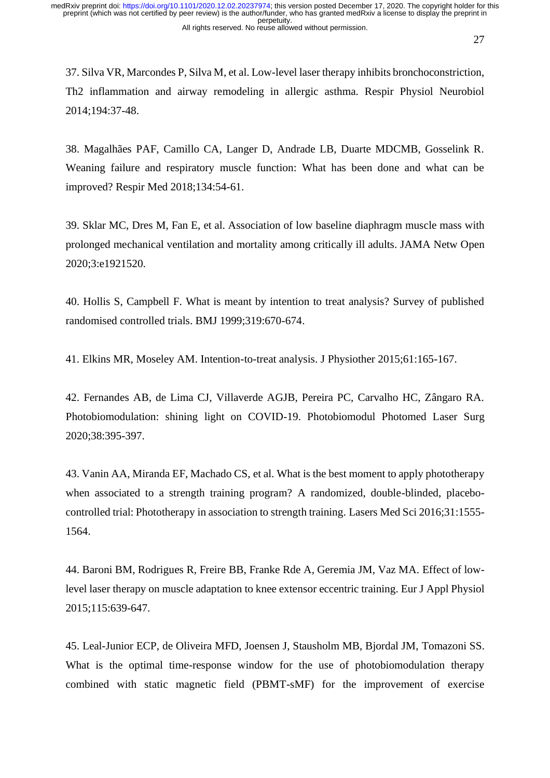37. Silva VR, Marcondes P, Silva M, et al. Low-level laser therapy inhibits bronchoconstriction, Th2 inflammation and airway remodeling in allergic asthma. Respir Physiol Neurobiol 2014;194:37-48.

38. Magalhães PAF, Camillo CA, Langer D, Andrade LB, Duarte MDCMB, Gosselink R. Weaning failure and respiratory muscle function: What has been done and what can be improved? Respir Med 2018;134:54-61.

39. Sklar MC, Dres M, Fan E, et al. Association of low baseline diaphragm muscle mass with prolonged mechanical ventilation and mortality among critically ill adults. JAMA Netw Open 2020;3:e1921520.

40. Hollis S, Campbell F. What is meant by intention to treat analysis? Survey of published randomised controlled trials. BMJ 1999;319:670-674.

41. Elkins MR, Moseley AM. Intention-to-treat analysis. J Physiother 2015;61:165-167.

42. Fernandes AB, de Lima CJ, Villaverde AGJB, Pereira PC, Carvalho HC, Zângaro RA. Photobiomodulation: shining light on COVID-19. Photobiomodul Photomed Laser Surg 2020;38:395-397.

43. Vanin AA, Miranda EF, Machado CS, et al. What is the best moment to apply phototherapy when associated to a strength training program? A randomized, double-blinded, placebocontrolled trial: Phototherapy in association to strength training. Lasers Med Sci 2016;31:1555- 1564.

44. Baroni BM, Rodrigues R, Freire BB, Franke Rde A, Geremia JM, Vaz MA. Effect of lowlevel laser therapy on muscle adaptation to knee extensor eccentric training. Eur J Appl Physiol 2015;115:639-647.

45. Leal-Junior ECP, de Oliveira MFD, Joensen J, Stausholm MB, Bjordal JM, Tomazoni SS. What is the optimal time-response window for the use of photobiomodulation therapy combined with static magnetic field (PBMT-sMF) for the improvement of exercise